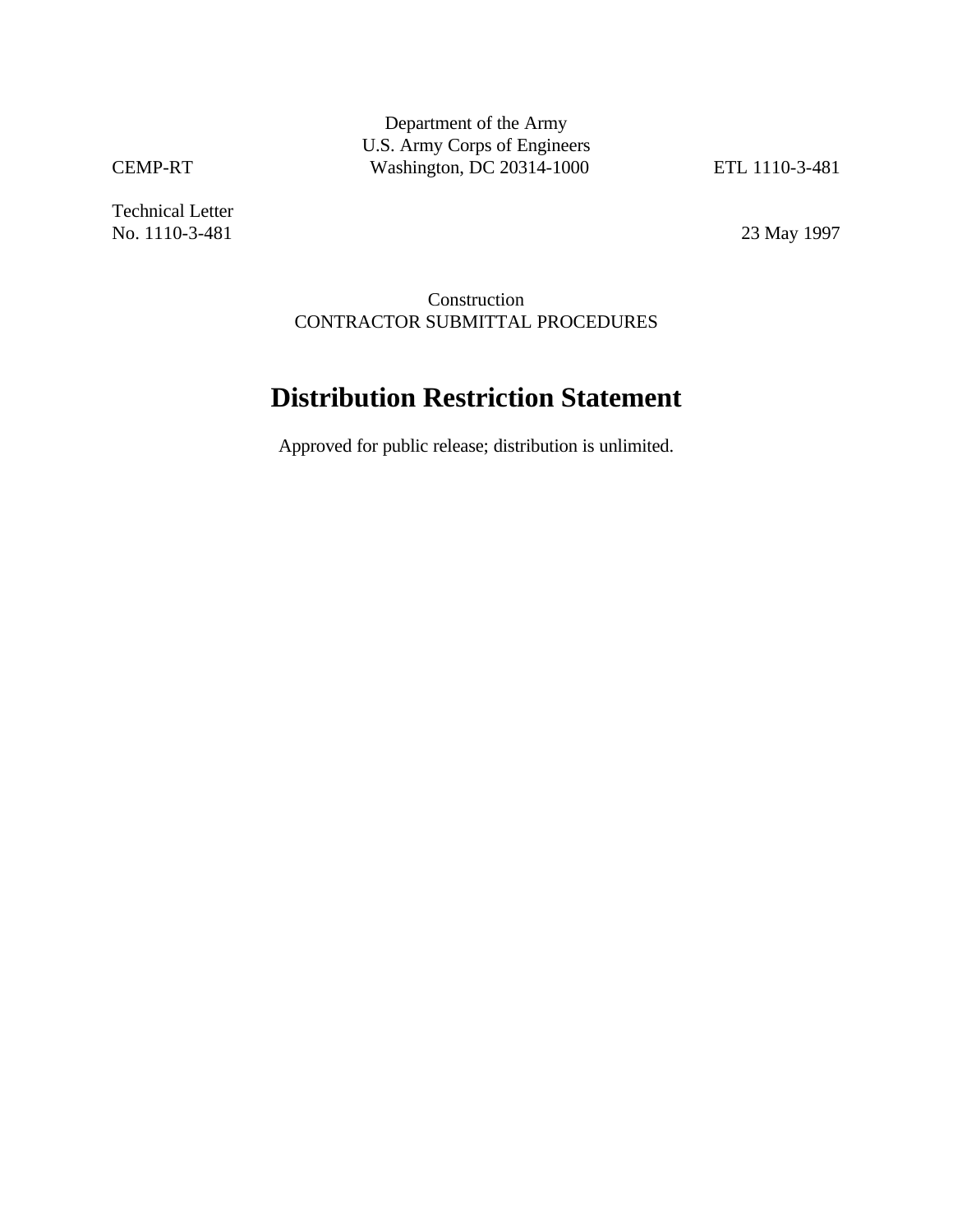Technical Letter No. 1110-3-481 23 May 1997

Construction CONTRACTOR SUBMITTAL PROCEDURES

# **Distribution Restriction Statement**

Approved for public release; distribution is unlimited.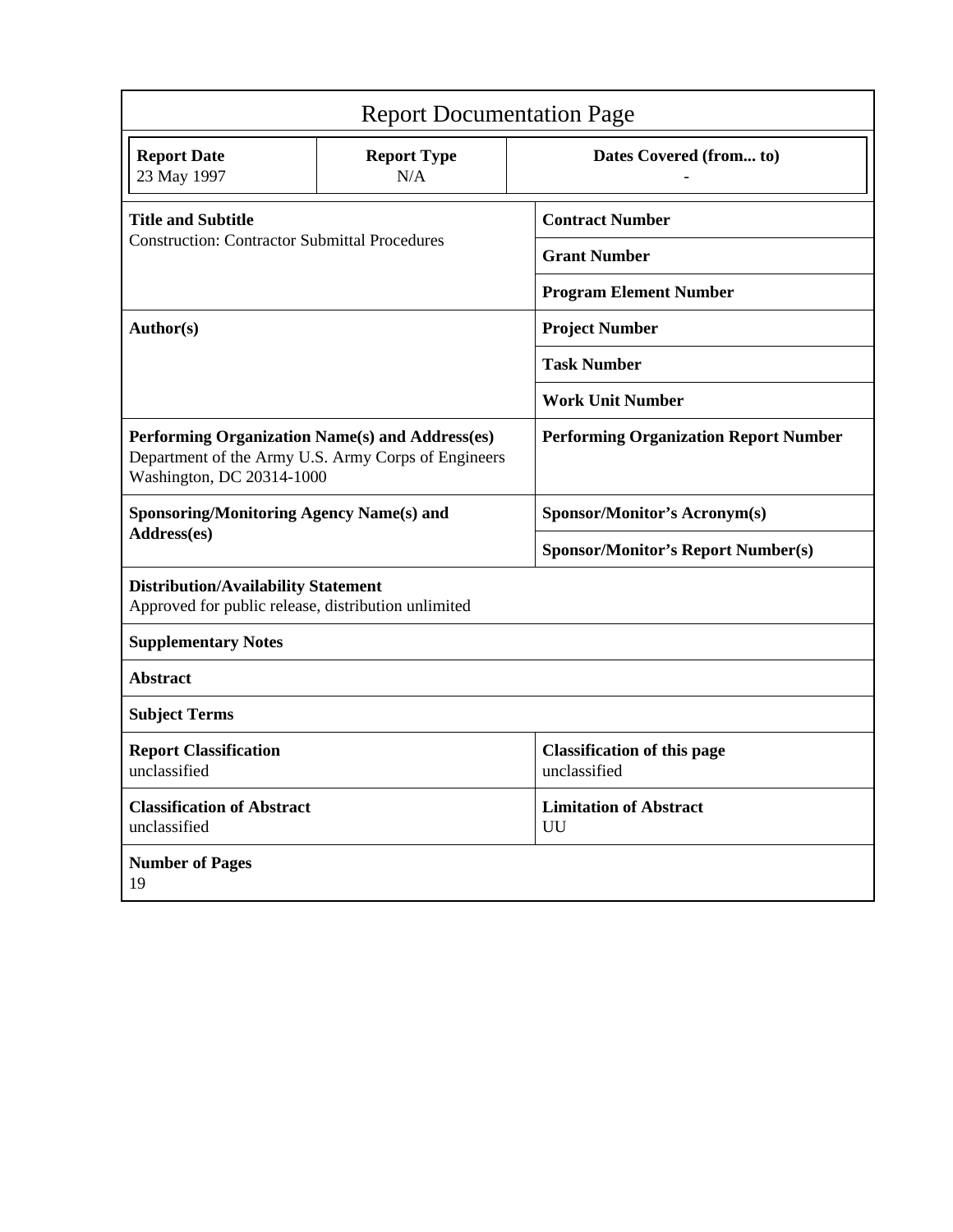| <b>Report Documentation Page</b>                                                                                                    |                                     |                                                    |  |  |  |  |
|-------------------------------------------------------------------------------------------------------------------------------------|-------------------------------------|----------------------------------------------------|--|--|--|--|
| <b>Report Date</b><br>23 May 1997                                                                                                   | <b>Report Type</b><br>N/A           | Dates Covered (from to)                            |  |  |  |  |
| <b>Title and Subtitle</b>                                                                                                           |                                     | <b>Contract Number</b>                             |  |  |  |  |
| <b>Construction: Contractor Submittal Procedures</b>                                                                                |                                     | <b>Grant Number</b>                                |  |  |  |  |
|                                                                                                                                     |                                     | <b>Program Element Number</b>                      |  |  |  |  |
| Author(s)                                                                                                                           |                                     | <b>Project Number</b>                              |  |  |  |  |
|                                                                                                                                     |                                     | <b>Task Number</b>                                 |  |  |  |  |
|                                                                                                                                     |                                     | <b>Work Unit Number</b>                            |  |  |  |  |
| Performing Organization Name(s) and Address(es)<br>Department of the Army U.S. Army Corps of Engineers<br>Washington, DC 20314-1000 |                                     | <b>Performing Organization Report Number</b>       |  |  |  |  |
| <b>Sponsoring/Monitoring Agency Name(s) and</b>                                                                                     |                                     | Sponsor/Monitor's Acronym(s)                       |  |  |  |  |
| Address(es)                                                                                                                         |                                     | <b>Sponsor/Monitor's Report Number(s)</b>          |  |  |  |  |
| <b>Distribution/Availability Statement</b><br>Approved for public release, distribution unlimited                                   |                                     |                                                    |  |  |  |  |
| <b>Supplementary Notes</b>                                                                                                          |                                     |                                                    |  |  |  |  |
| <b>Abstract</b>                                                                                                                     |                                     |                                                    |  |  |  |  |
| <b>Subject Terms</b>                                                                                                                |                                     |                                                    |  |  |  |  |
| <b>Report Classification</b><br>unclassified                                                                                        |                                     | <b>Classification of this page</b><br>unclassified |  |  |  |  |
| <b>Classification of Abstract</b><br>unclassified                                                                                   | <b>Limitation of Abstract</b><br>UU |                                                    |  |  |  |  |
| <b>Number of Pages</b><br>19                                                                                                        |                                     |                                                    |  |  |  |  |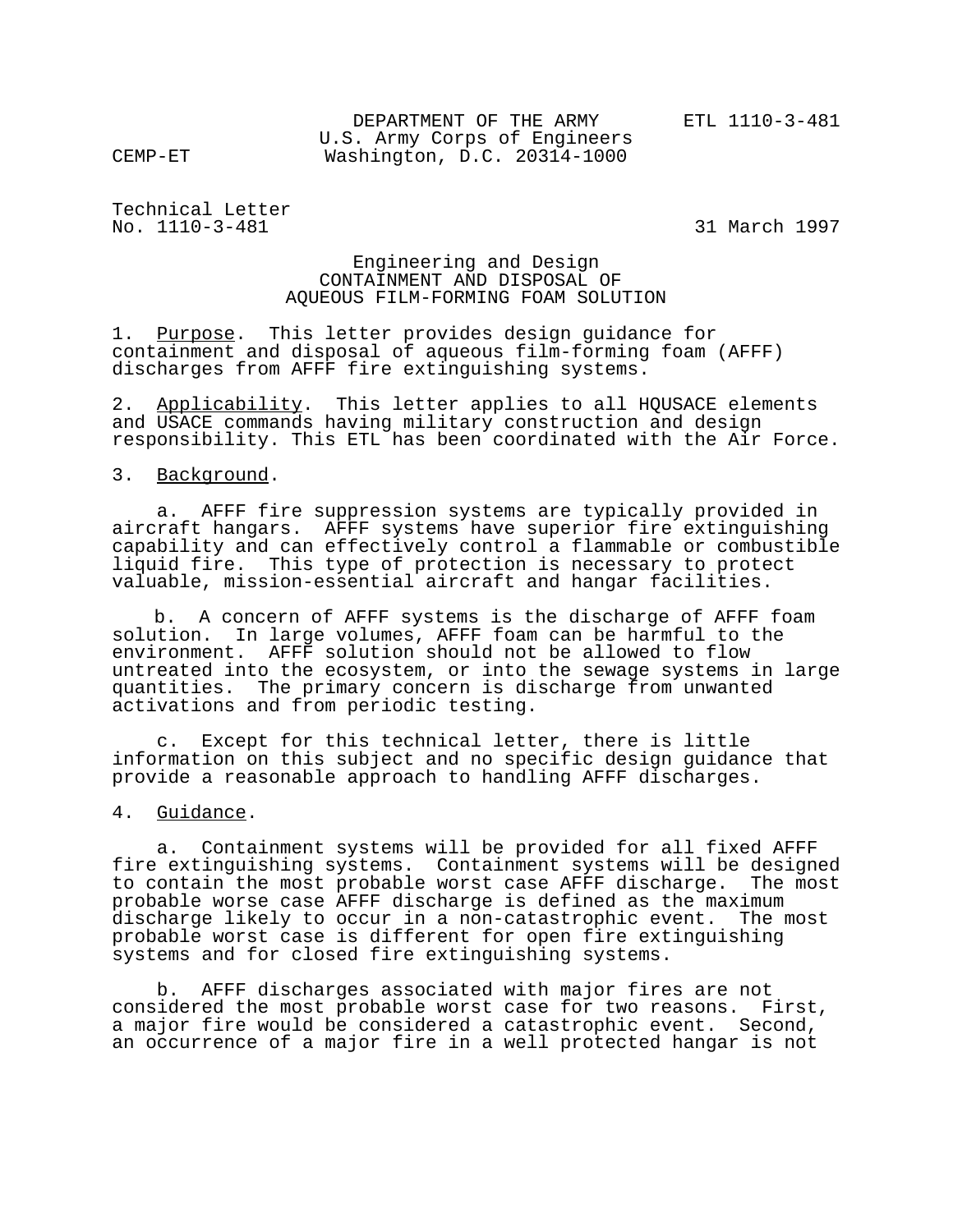DEPARTMENT OF THE ARMY FIL 1110-3-481 U.S. Army Corps of Engineers CEMP-ET Washington, D.C. 20314-1000

Technical Letter No. 1110-3-481 31 March 1997

#### Engineering and Design CONTAINMENT AND DISPOSAL OF AQUEOUS FILM-FORMING FOAM SOLUTION

1. Purpose. This letter provides design guidance for containment and disposal of aqueous film-forming foam (AFFF) discharges from AFFF fire extinguishing systems.

2. Applicability. This letter applies to all HQUSACE elements and USACE commands having military construction and design responsibility. This ETL has been coordinated with the Air Force.

3. Background.

 a. AFFF fire suppression systems are typically provided in aircraft hangars. AFFF systems have superior fire extinguishing capability and can effectively control a flammable or combustible liquid fire. This type of protection is necessary to protect valuable, mission-essential aircraft and hangar facilities.

b. A concern of AFFF systems is the discharge of AFFF foam solution. In large volumes, AFFF foam can be harmful to the environment. AFFF solution should not be allowed to flow untreated into the ecosystem, or into the sewage systems in large quantities. The primary concern is discharge from unwanted activations and from periodic testing.

 c. Except for this technical letter, there is little information on this subject and no specific design guidance that provide a reasonable approach to handling AFFF discharges.

4. Guidance.

 a. Containment systems will be provided for all fixed AFFF fire extinguishing systems. Containment systems will be designed to contain the most probable worst case AFFF discharge. The most probable worse case AFFF discharge is defined as the maximum discharge likely to occur in a non-catastrophic event. The most probable worst case is different for open fire extinguishing systems and for closed fire extinguishing systems.

 b. AFFF discharges associated with major fires are not considered the most probable worst case for two reasons. First, a major fire would be considered a catastrophic event. Second, an occurrence of a major fire in a well protected hangar is not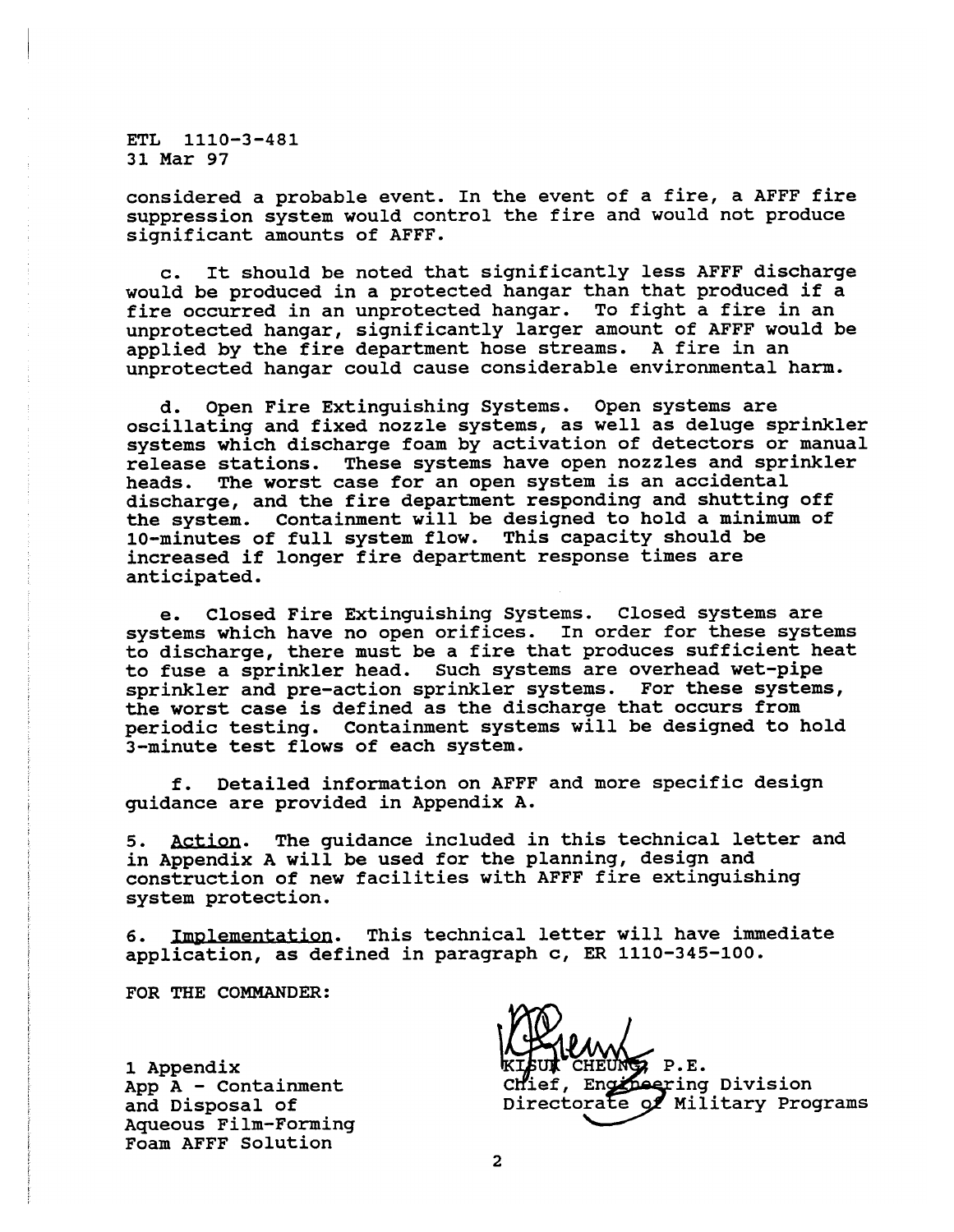considered a probable event. In the event of a fire, a AFFF fire suppression system would control the fire and would not produce significant amounts of AFFF.

c. It should be noted that significantly less AFFF discharge would be produced in a protected hangar than that produced if a fire occurred in an unprotected hangar. To fight a fire in an unprotected hangar, significantly larger amount of AFFF would be applied by the fire department hose streams. A fire in an unprotected hangar could cause considerable environmental harm.

d. Open Fire Extinguishing Systems. Open systems are oscillating and fixed nozzle systems, as well as deluge sprinkler systems which discharge foam by activation of detectors or manual release stations. These systems have open nozzles and sprinkler<br>heads. The worst case for an open system is an accidental The worst case for an open system is an accidental discharge, and the fire department responding and shutting off the system. Containment will be designed to hold a minimum of 10-minutes of full system flow. This capacity should be increased if longer fire department response times are anticipated.

e. Closed Fire Extinguishing Systems. Closed systems are systems which have no open orifices. In order for these systems to discharge, there must be a fire that produces sufficient heat to fuse a sprinkler head. Such systems are overhead wet-pipe sprinkler and pre-action sprinkler systems. For these systems, the worst case is defined as the discharge that occurs from periodic testing. Containment systems will be designed to hold 3-minute test flows of each system.

f. Detailed information on AFFF and more specific design guidance are provided in Appendix A.

5. Action. The guidance included in this technical letter and in Appendix A will be used for the planning, design and construction of new facilities with AFFF fire extinguishing system protection.

6. ementation. This technical letter will have immediate application, as defined in paragraph c, ER 1110-345-100.

FOR THE COMMANDER:

1 Appendix **EXECUTE REGIST AND REGIST**<br>App A - Containment **1996** Chief, Engineering Aqueous Film-Forming Foam AFFF Solution

App A - Containment Chief, Engineering Division<br>and Disposal of Singletorate of Military Pro Directorate of Military Programs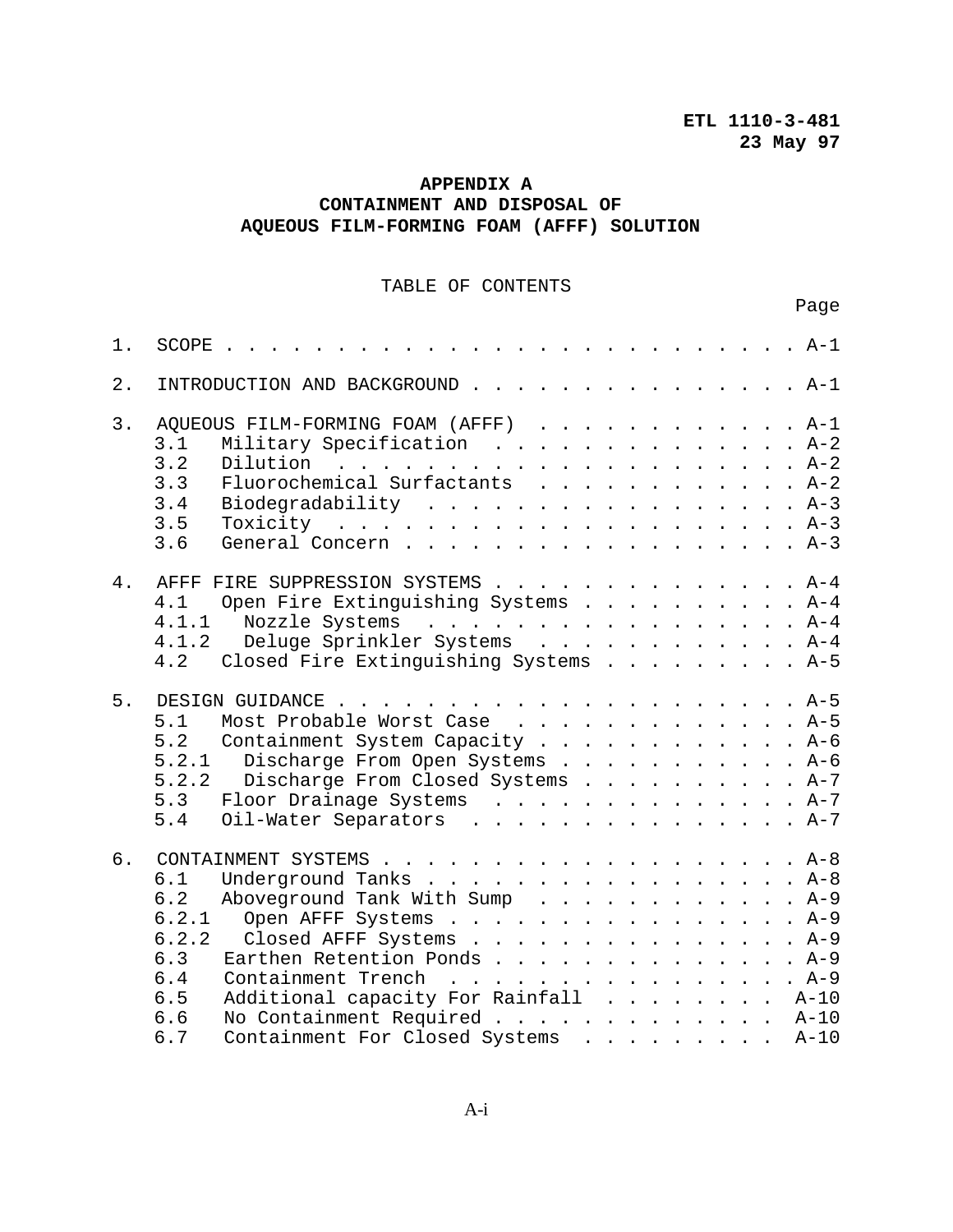Page

# **APPENDIX A CONTAINMENT AND DISPOSAL OF AQUEOUS FILM-FORMING FOAM (AFFF) SOLUTION**

# TABLE OF CONTENTS

| $1$ . | . A-1<br>SCOPE.                                                                                                                                                                                                                                                                                                              |
|-------|------------------------------------------------------------------------------------------------------------------------------------------------------------------------------------------------------------------------------------------------------------------------------------------------------------------------------|
| 2.    | INTRODUCTION AND BACKGROUND A-1                                                                                                                                                                                                                                                                                              |
| 3.    | AQUEOUS FILM-FORMING FOAM (AFFF) A-1<br>Military Specification A-2<br>3.1<br>3.2<br>Fluorochemical Surfactants A-2<br>3.3<br>3.4<br>Biodegradability A-3<br>3.5<br>3.6<br>General Concern A-3                                                                                                                                |
| 4.    | AFFF FIRE SUPPRESSION SYSTEMS A-4<br>4.1<br>Open Fire Extinguishing Systems A-4<br>4.1.1<br>Nozzle Systems A-4<br>4.1.2<br>Deluge Sprinkler Systems A-4<br>Closed Fire Extinguishing Systems A-5<br>4.2                                                                                                                      |
| 5.    | Most Probable Worst Case A-5<br>5.1<br>5.2<br>Containment System Capacity A-6<br>5.2.1<br>Discharge From Open Systems A-6<br>5.2.2<br>Discharge From Closed Systems A-7<br>5.3<br>Floor Drainage Systems A-7<br>5.4<br>Oil-Water Separators A-7                                                                              |
| б.    | 6.1<br>Underground Tanks $A-8$<br>Aboveground Tank With Sump A-9<br>6.2<br>6.2.1<br>Open AFFF Systems A-9<br>6.2.2<br>Closed AFFF Systems A-9<br>Earthen Retention Ponds A-9<br>6.3<br>Containment Trench A-9<br>Additional capacity For Rainfall A-10<br>6.4<br>6.5<br>No Containment Required A-10<br>6.6<br>6.7<br>$A-10$ |
|       | Containment For Closed Systems                                                                                                                                                                                                                                                                                               |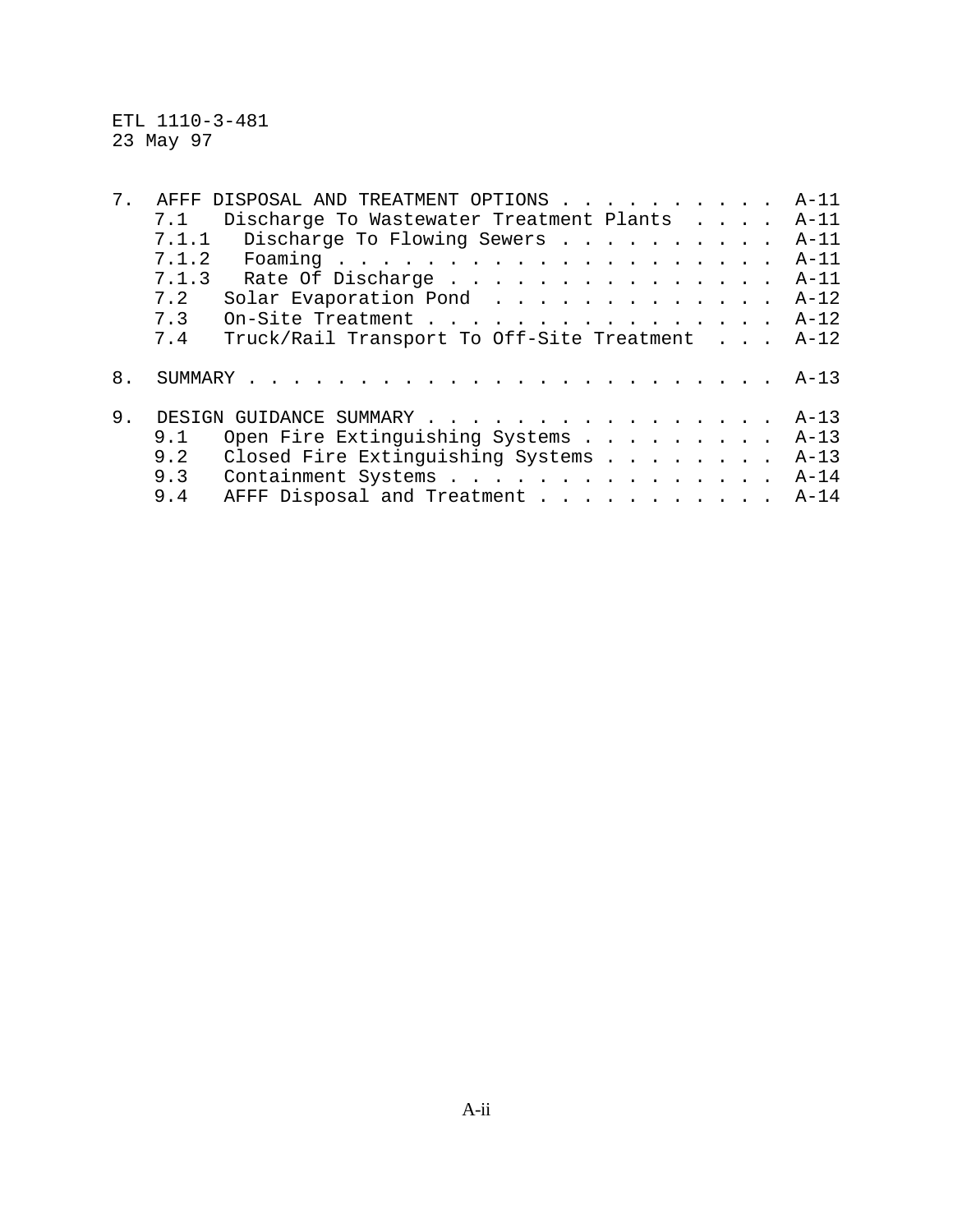ETL 1110-3-481 23 May 97

| 7. | AFFF                    | DISPOSAL AND TREATMENT OPTIONS             |  |  | $A-11$ |
|----|-------------------------|--------------------------------------------|--|--|--------|
|    | 7.1                     | Discharge To Wastewater Treatment Plants   |  |  | $A-11$ |
|    |                         | 7.1.1 Discharge To Flowing Sewers          |  |  | $A-11$ |
|    | 7.1.2                   |                                            |  |  | $A-11$ |
|    | 7.1.3                   | Rate Of Discharge                          |  |  | $A-11$ |
|    | 7.2                     | Solar Evaporation Pond                     |  |  | $A-12$ |
|    | 7.3                     | On-Site Treatment                          |  |  | $A-12$ |
|    | 7.4                     | Truck/Rail Transport To Off-Site Treatment |  |  | $A-12$ |
|    |                         |                                            |  |  |        |
| 8. |                         |                                            |  |  | $A-13$ |
|    |                         |                                            |  |  |        |
| 9. | DESIGN GUIDANCE SUMMARY |                                            |  |  | $A-13$ |
|    | 9.1                     | Open Fire Extinguishing Systems            |  |  | $A-13$ |
|    | 9.2                     | Closed Fire Extinguishing Systems          |  |  | $A-13$ |
|    | 9.3                     | Containment Systems                        |  |  | $A-14$ |
|    | 9.4                     | AFFF Disposal and Treatment                |  |  | $A-14$ |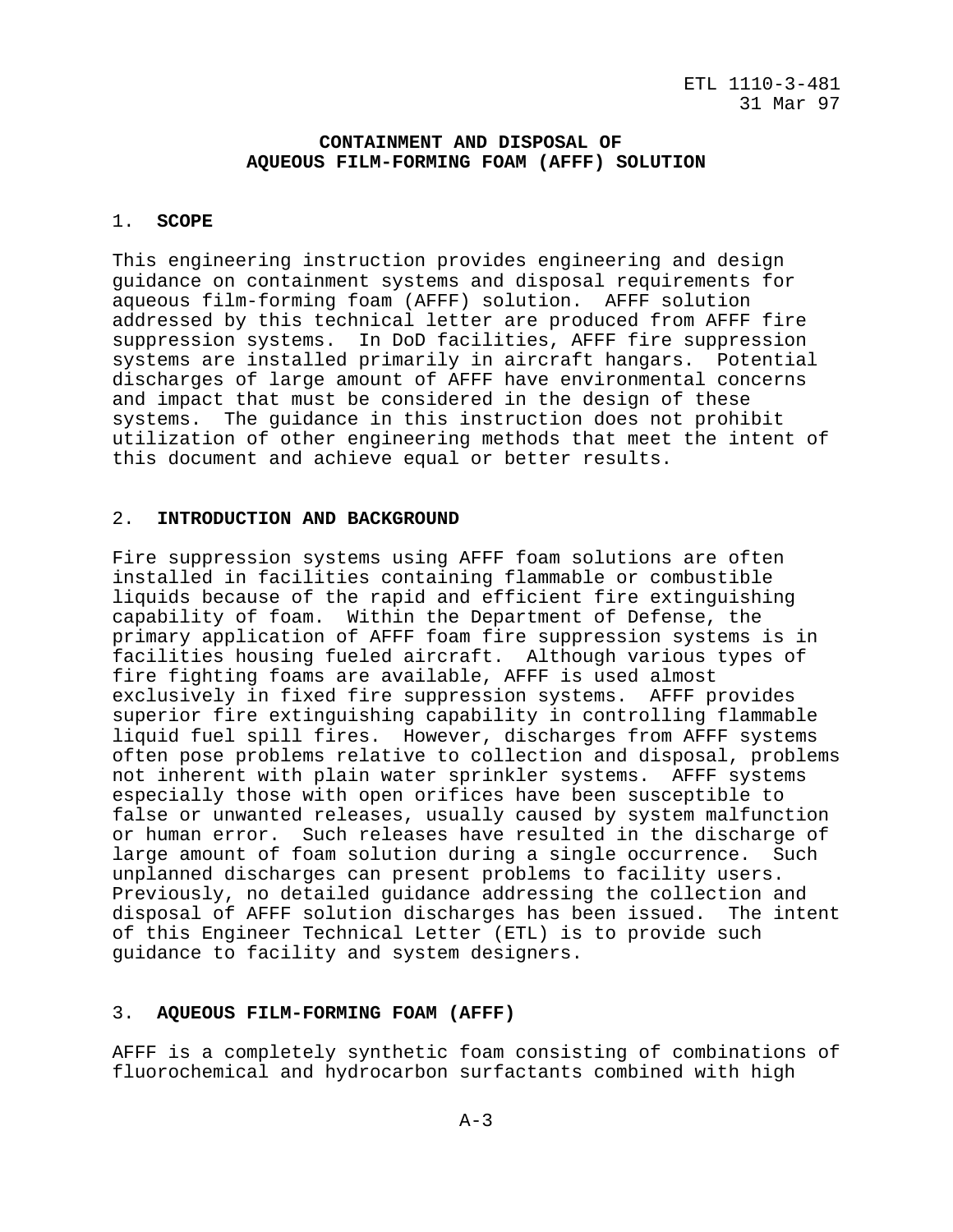## **CONTAINMENT AND DISPOSAL OF AQUEOUS FILM-FORMING FOAM (AFFF) SOLUTION**

# 1. **SCOPE**

This engineering instruction provides engineering and design guidance on containment systems and disposal requirements for aqueous film-forming foam (AFFF) solution. AFFF solution addressed by this technical letter are produced from AFFF fire suppression systems. In DoD facilities, AFFF fire suppression systems are installed primarily in aircraft hangars. Potential discharges of large amount of AFFF have environmental concerns and impact that must be considered in the design of these systems. The guidance in this instruction does not prohibit utilization of other engineering methods that meet the intent of this document and achieve equal or better results.

## 2. **INTRODUCTION AND BACKGROUND**

Fire suppression systems using AFFF foam solutions are often installed in facilities containing flammable or combustible liquids because of the rapid and efficient fire extinguishing capability of foam. Within the Department of Defense, the primary application of AFFF foam fire suppression systems is in facilities housing fueled aircraft. Although various types of fire fighting foams are available, AFFF is used almost exclusively in fixed fire suppression systems. AFFF provides superior fire extinguishing capability in controlling flammable liquid fuel spill fires. However, discharges from AFFF systems often pose problems relative to collection and disposal, problems not inherent with plain water sprinkler systems. AFFF systems especially those with open orifices have been susceptible to false or unwanted releases, usually caused by system malfunction or human error. Such releases have resulted in the discharge of large amount of foam solution during a single occurrence. Such unplanned discharges can present problems to facility users. Previously, no detailed guidance addressing the collection and disposal of AFFF solution discharges has been issued. The intent of this Engineer Technical Letter (ETL) is to provide such guidance to facility and system designers.

## 3. **AQUEOUS FILM-FORMING FOAM (AFFF)**

AFFF is a completely synthetic foam consisting of combinations of fluorochemical and hydrocarbon surfactants combined with high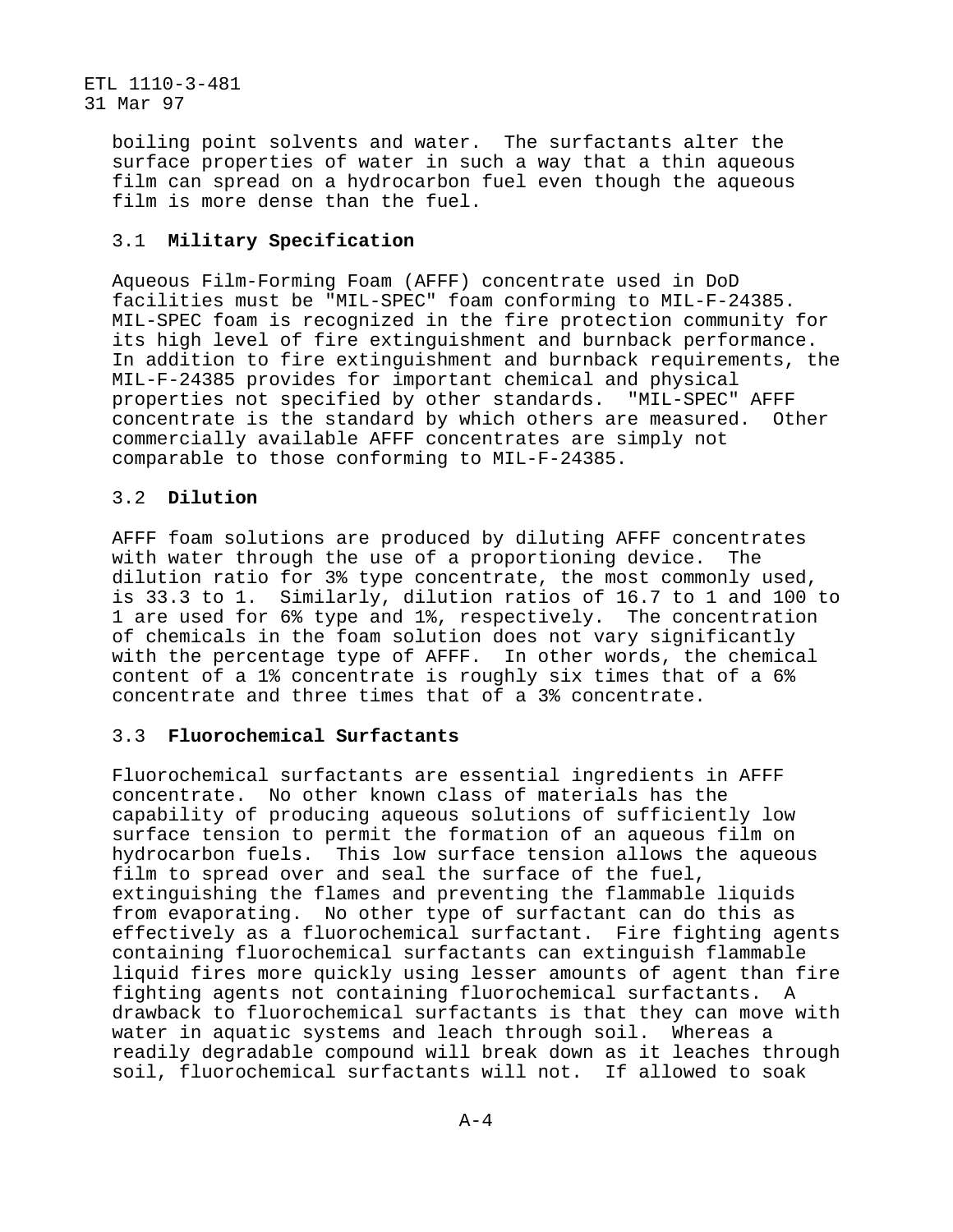> boiling point solvents and water. The surfactants alter the surface properties of water in such a way that a thin aqueous film can spread on a hydrocarbon fuel even though the aqueous film is more dense than the fuel.

# 3.1 **Military Specification**

Aqueous Film-Forming Foam (AFFF) concentrate used in DoD facilities must be "MIL-SPEC" foam conforming to MIL-F-24385. MIL-SPEC foam is recognized in the fire protection community for its high level of fire extinguishment and burnback performance. In addition to fire extinguishment and burnback requirements, the MIL-F-24385 provides for important chemical and physical properties not specified by other standards. "MIL-SPEC" AFFF concentrate is the standard by which others are measured. Other commercially available AFFF concentrates are simply not comparable to those conforming to MIL-F-24385.

# 3.2 **Dilution**

AFFF foam solutions are produced by diluting AFFF concentrates with water through the use of a proportioning device. The dilution ratio for 3% type concentrate, the most commonly used, is 33.3 to 1. Similarly, dilution ratios of 16.7 to 1 and 100 to 1 are used for 6% type and 1%, respectively. The concentration of chemicals in the foam solution does not vary significantly with the percentage type of AFFF. In other words, the chemical content of a 1% concentrate is roughly six times that of a 6% concentrate and three times that of a 3% concentrate.

# 3.3 **Fluorochemical Surfactants**

Fluorochemical surfactants are essential ingredients in AFFF concentrate. No other known class of materials has the capability of producing aqueous solutions of sufficiently low surface tension to permit the formation of an aqueous film on hydrocarbon fuels. This low surface tension allows the aqueous film to spread over and seal the surface of the fuel, extinguishing the flames and preventing the flammable liquids from evaporating. No other type of surfactant can do this as effectively as a fluorochemical surfactant. Fire fighting agents containing fluorochemical surfactants can extinguish flammable liquid fires more quickly using lesser amounts of agent than fire fighting agents not containing fluorochemical surfactants. A drawback to fluorochemical surfactants is that they can move with water in aquatic systems and leach through soil. Whereas a readily degradable compound will break down as it leaches through soil, fluorochemical surfactants will not. If allowed to soak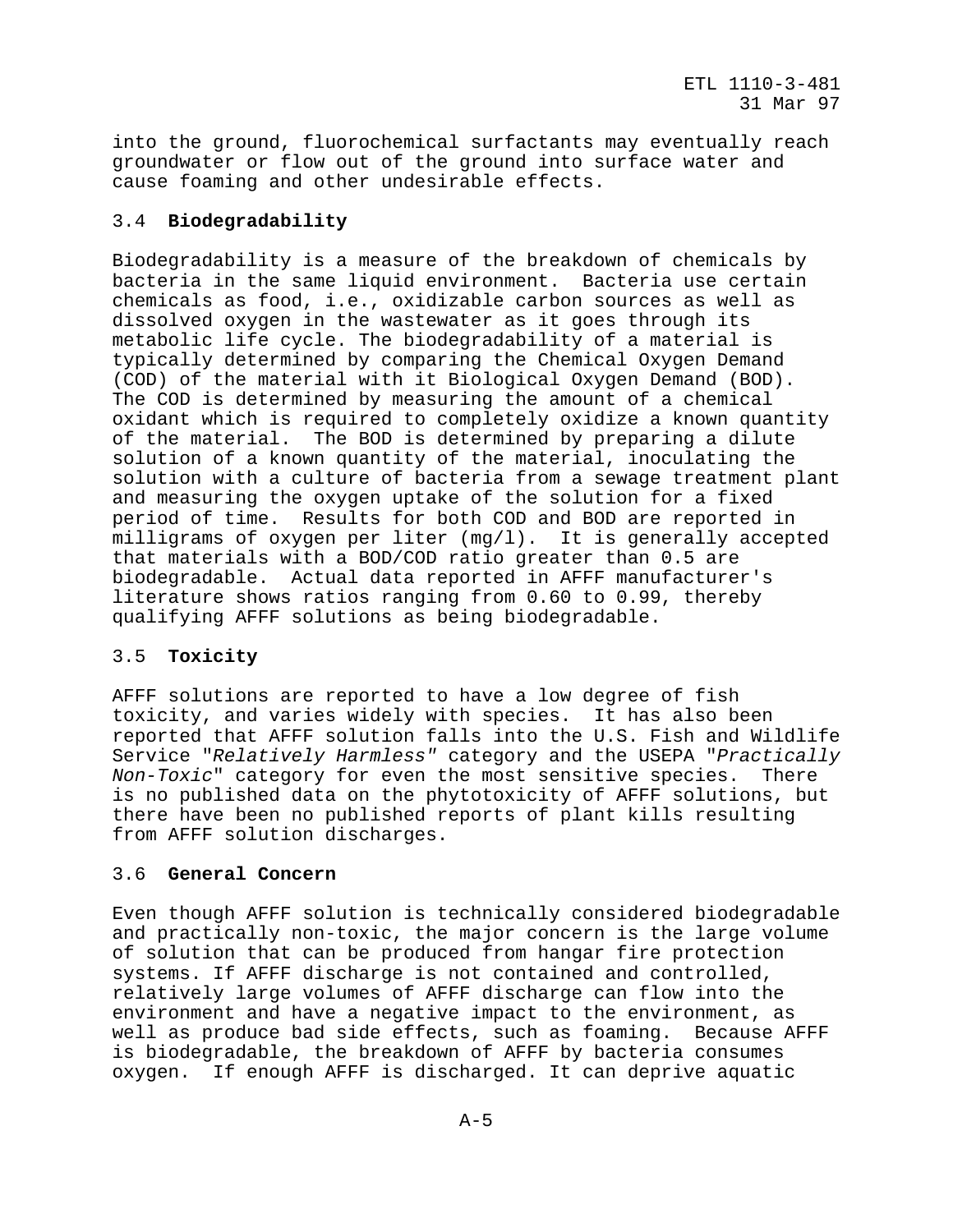into the ground, fluorochemical surfactants may eventually reach groundwater or flow out of the ground into surface water and cause foaming and other undesirable effects.

# 3.4 **Biodegradability**

Biodegradability is a measure of the breakdown of chemicals by bacteria in the same liquid environment. Bacteria use certain chemicals as food, i.e., oxidizable carbon sources as well as dissolved oxygen in the wastewater as it goes through its metabolic life cycle. The biodegradability of a material is typically determined by comparing the Chemical Oxygen Demand (COD) of the material with it Biological Oxygen Demand (BOD). The COD is determined by measuring the amount of a chemical oxidant which is required to completely oxidize a known quantity of the material. The BOD is determined by preparing a dilute solution of a known quantity of the material, inoculating the solution with a culture of bacteria from a sewage treatment plant and measuring the oxygen uptake of the solution for a fixed period of time. Results for both COD and BOD are reported in milligrams of oxygen per liter (mg/l). It is generally accepted that materials with a BOD/COD ratio greater than 0.5 are biodegradable. Actual data reported in AFFF manufacturer's literature shows ratios ranging from 0.60 to 0.99, thereby qualifying AFFF solutions as being biodegradable.

## 3.5 **Toxicity**

AFFF solutions are reported to have a low degree of fish toxicity, and varies widely with species. It has also been reported that AFFF solution falls into the U.S. Fish and Wildlife Service "Relatively Harmless" category and the USEPA "Practically Non-Toxic" category for even the most sensitive species. There is no published data on the phytotoxicity of AFFF solutions, but there have been no published reports of plant kills resulting from AFFF solution discharges.

#### 3.6 **General Concern**

Even though AFFF solution is technically considered biodegradable and practically non-toxic, the major concern is the large volume of solution that can be produced from hangar fire protection systems. If AFFF discharge is not contained and controlled, relatively large volumes of AFFF discharge can flow into the environment and have a negative impact to the environment, as well as produce bad side effects, such as foaming. Because AFFF is biodegradable, the breakdown of AFFF by bacteria consumes oxygen. If enough AFFF is discharged. It can deprive aquatic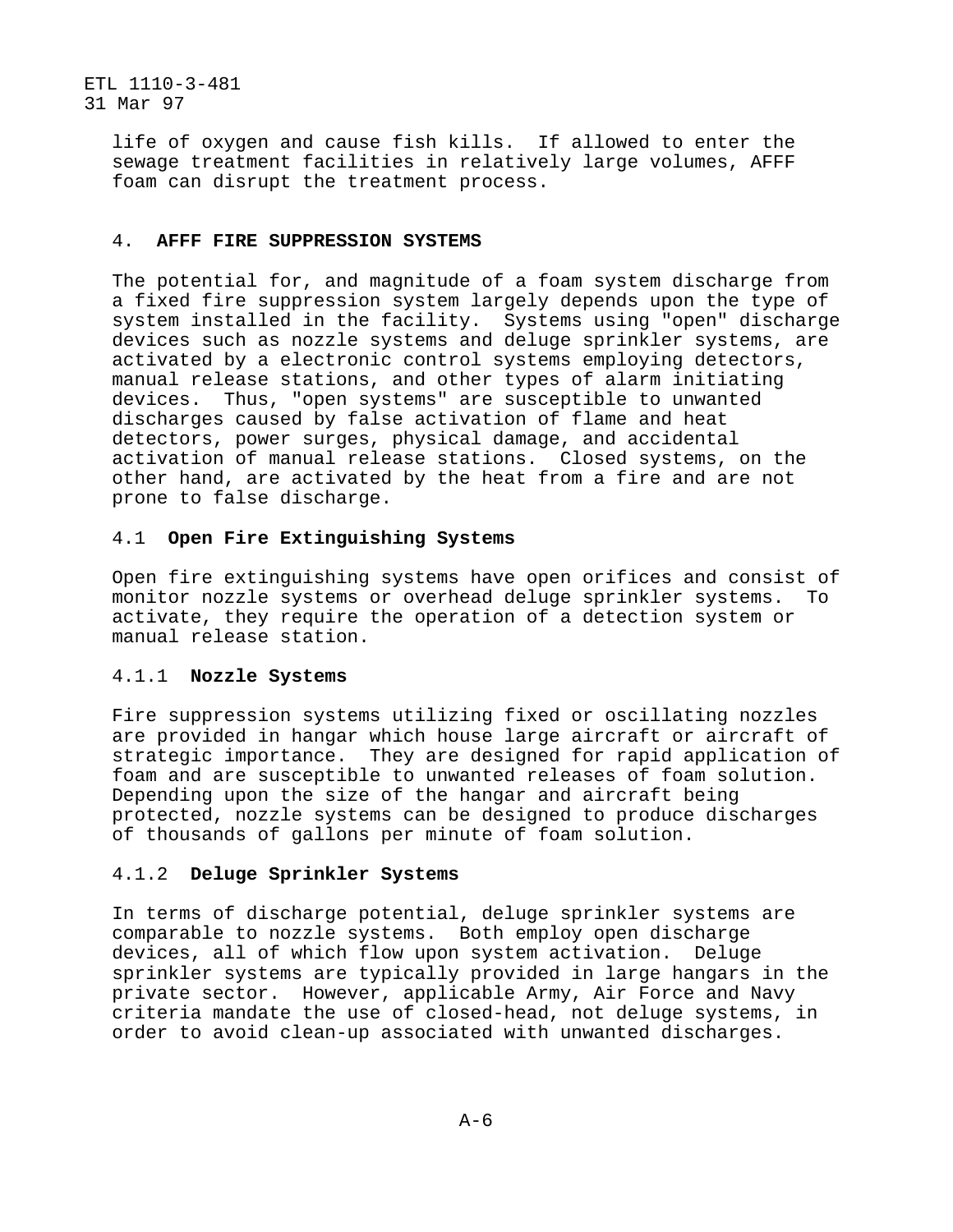> life of oxygen and cause fish kills. If allowed to enter the sewage treatment facilities in relatively large volumes, AFFF foam can disrupt the treatment process.

#### 4. **AFFF FIRE SUPPRESSION SYSTEMS**

The potential for, and magnitude of a foam system discharge from a fixed fire suppression system largely depends upon the type of system installed in the facility. Systems using "open" discharge devices such as nozzle systems and deluge sprinkler systems, are activated by a electronic control systems employing detectors, manual release stations, and other types of alarm initiating devices. Thus, "open systems" are susceptible to unwanted discharges caused by false activation of flame and heat detectors, power surges, physical damage, and accidental activation of manual release stations. Closed systems, on the other hand, are activated by the heat from a fire and are not prone to false discharge.

## 4.1 **Open Fire Extinguishing Systems**

Open fire extinguishing systems have open orifices and consist of monitor nozzle systems or overhead deluge sprinkler systems. To activate, they require the operation of a detection system or manual release station.

#### 4.1.1 **Nozzle Systems**

Fire suppression systems utilizing fixed or oscillating nozzles are provided in hangar which house large aircraft or aircraft of strategic importance. They are designed for rapid application of foam and are susceptible to unwanted releases of foam solution. Depending upon the size of the hangar and aircraft being protected, nozzle systems can be designed to produce discharges of thousands of gallons per minute of foam solution.

#### 4.1.2 **Deluge Sprinkler Systems**

In terms of discharge potential, deluge sprinkler systems are comparable to nozzle systems. Both employ open discharge devices, all of which flow upon system activation. Deluge sprinkler systems are typically provided in large hangars in the private sector. However, applicable Army, Air Force and Navy criteria mandate the use of closed-head, not deluge systems, in order to avoid clean-up associated with unwanted discharges.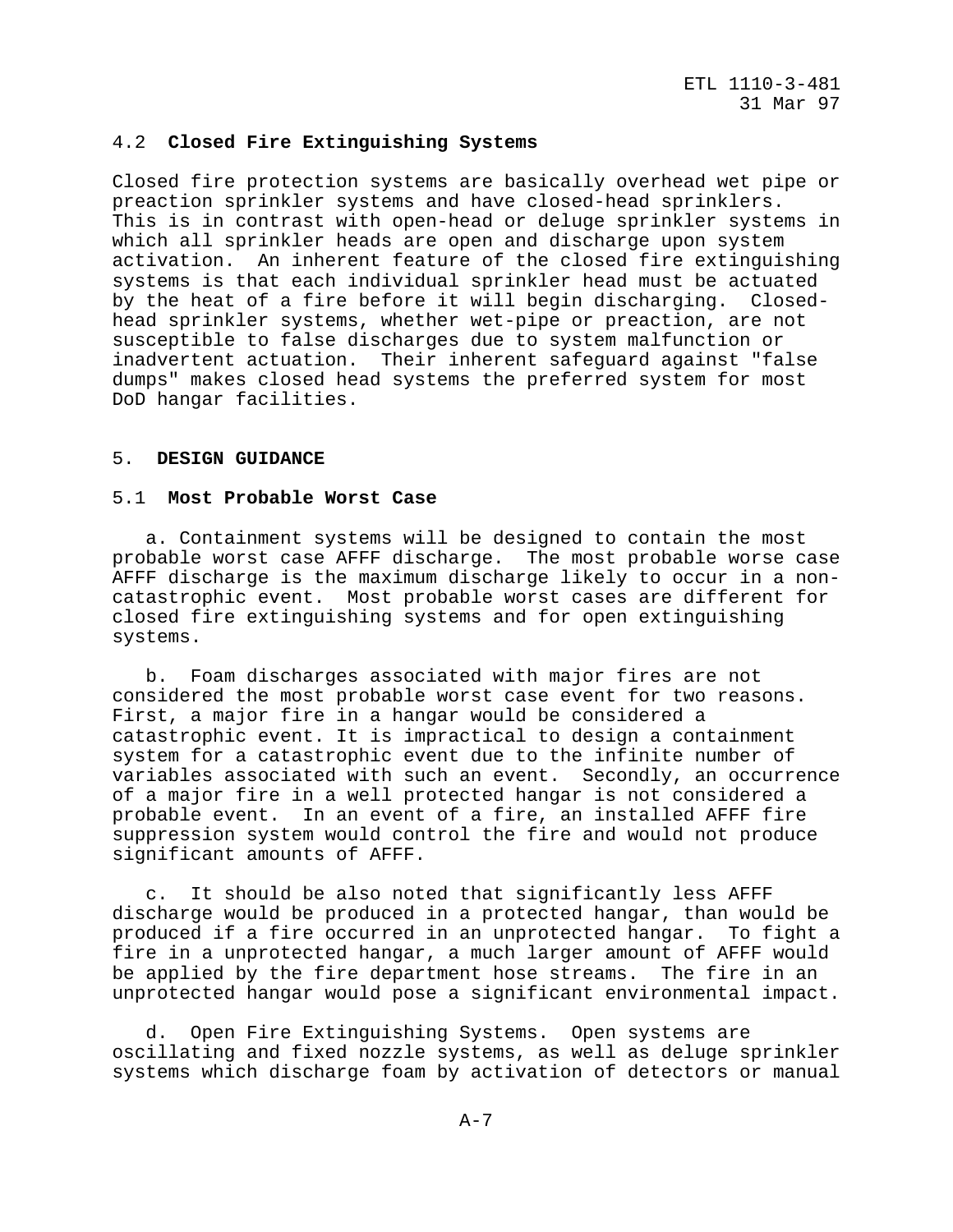#### 4.2 **Closed Fire Extinguishing Systems**

Closed fire protection systems are basically overhead wet pipe or preaction sprinkler systems and have closed-head sprinklers. This is in contrast with open-head or deluge sprinkler systems in which all sprinkler heads are open and discharge upon system activation. An inherent feature of the closed fire extinguishing systems is that each individual sprinkler head must be actuated by the heat of a fire before it will begin discharging. Closedhead sprinkler systems, whether wet-pipe or preaction, are not susceptible to false discharges due to system malfunction or inadvertent actuation. Their inherent safeguard against "false dumps" makes closed head systems the preferred system for most DoD hangar facilities.

#### 5. **DESIGN GUIDANCE**

#### 5.1 **Most Probable Worst Case**

 a. Containment systems will be designed to contain the most probable worst case AFFF discharge. The most probable worse case AFFF discharge is the maximum discharge likely to occur in a noncatastrophic event. Most probable worst cases are different for closed fire extinguishing systems and for open extinguishing systems.

 b. Foam discharges associated with major fires are not considered the most probable worst case event for two reasons. First, a major fire in a hangar would be considered a catastrophic event. It is impractical to design a containment system for a catastrophic event due to the infinite number of variables associated with such an event. Secondly, an occurrence of a major fire in a well protected hangar is not considered a probable event. In an event of a fire, an installed AFFF fire suppression system would control the fire and would not produce significant amounts of AFFF.

 c. It should be also noted that significantly less AFFF discharge would be produced in a protected hangar, than would be produced if a fire occurred in an unprotected hangar. To fight a fire in a unprotected hangar, a much larger amount of AFFF would be applied by the fire department hose streams. The fire in an unprotected hangar would pose a significant environmental impact.

 d. Open Fire Extinguishing Systems. Open systems are oscillating and fixed nozzle systems, as well as deluge sprinkler systems which discharge foam by activation of detectors or manual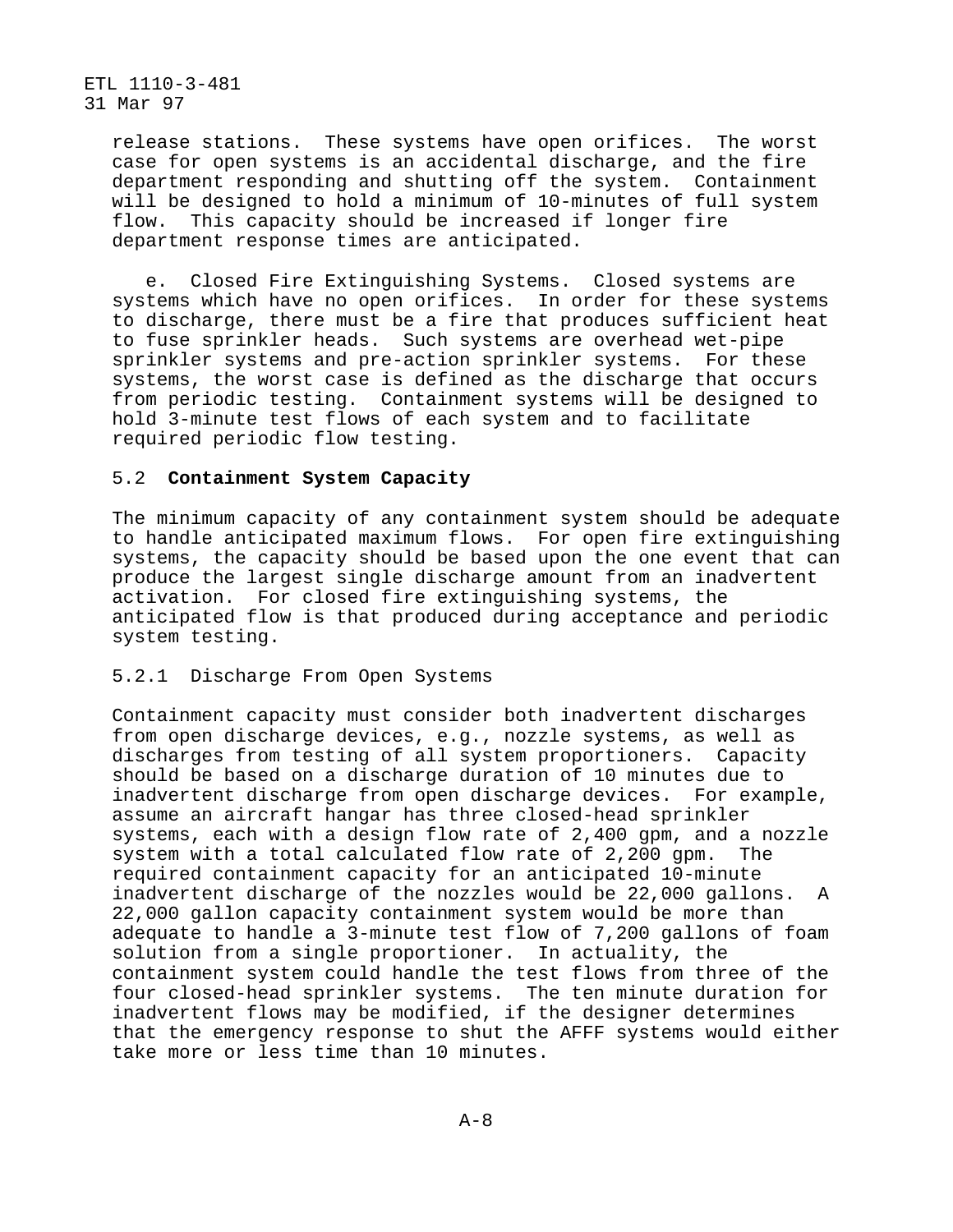> release stations. These systems have open orifices. The worst case for open systems is an accidental discharge, and the fire department responding and shutting off the system. Containment will be designed to hold a minimum of 10-minutes of full system flow. This capacity should be increased if longer fire department response times are anticipated.

 e. Closed Fire Extinguishing Systems. Closed systems are systems which have no open orifices. In order for these systems to discharge, there must be a fire that produces sufficient heat to fuse sprinkler heads. Such systems are overhead wet-pipe sprinkler systems and pre-action sprinkler systems. For these systems, the worst case is defined as the discharge that occurs from periodic testing. Containment systems will be designed to hold 3-minute test flows of each system and to facilitate required periodic flow testing.

# 5.2 **Containment System Capacity**

The minimum capacity of any containment system should be adequate to handle anticipated maximum flows. For open fire extinguishing systems, the capacity should be based upon the one event that can produce the largest single discharge amount from an inadvertent activation. For closed fire extinguishing systems, the anticipated flow is that produced during acceptance and periodic system testing.

## 5.2.1 Discharge From Open Systems

Containment capacity must consider both inadvertent discharges from open discharge devices, e.g., nozzle systems, as well as discharges from testing of all system proportioners. Capacity should be based on a discharge duration of 10 minutes due to inadvertent discharge from open discharge devices. For example, assume an aircraft hangar has three closed-head sprinkler systems, each with a design flow rate of 2,400 gpm, and a nozzle system with a total calculated flow rate of 2,200 gpm. The required containment capacity for an anticipated 10-minute inadvertent discharge of the nozzles would be 22,000 gallons. A 22,000 gallon capacity containment system would be more than adequate to handle a 3-minute test flow of 7,200 gallons of foam solution from a single proportioner. In actuality, the containment system could handle the test flows from three of the four closed-head sprinkler systems. The ten minute duration for inadvertent flows may be modified, if the designer determines that the emergency response to shut the AFFF systems would either take more or less time than 10 minutes.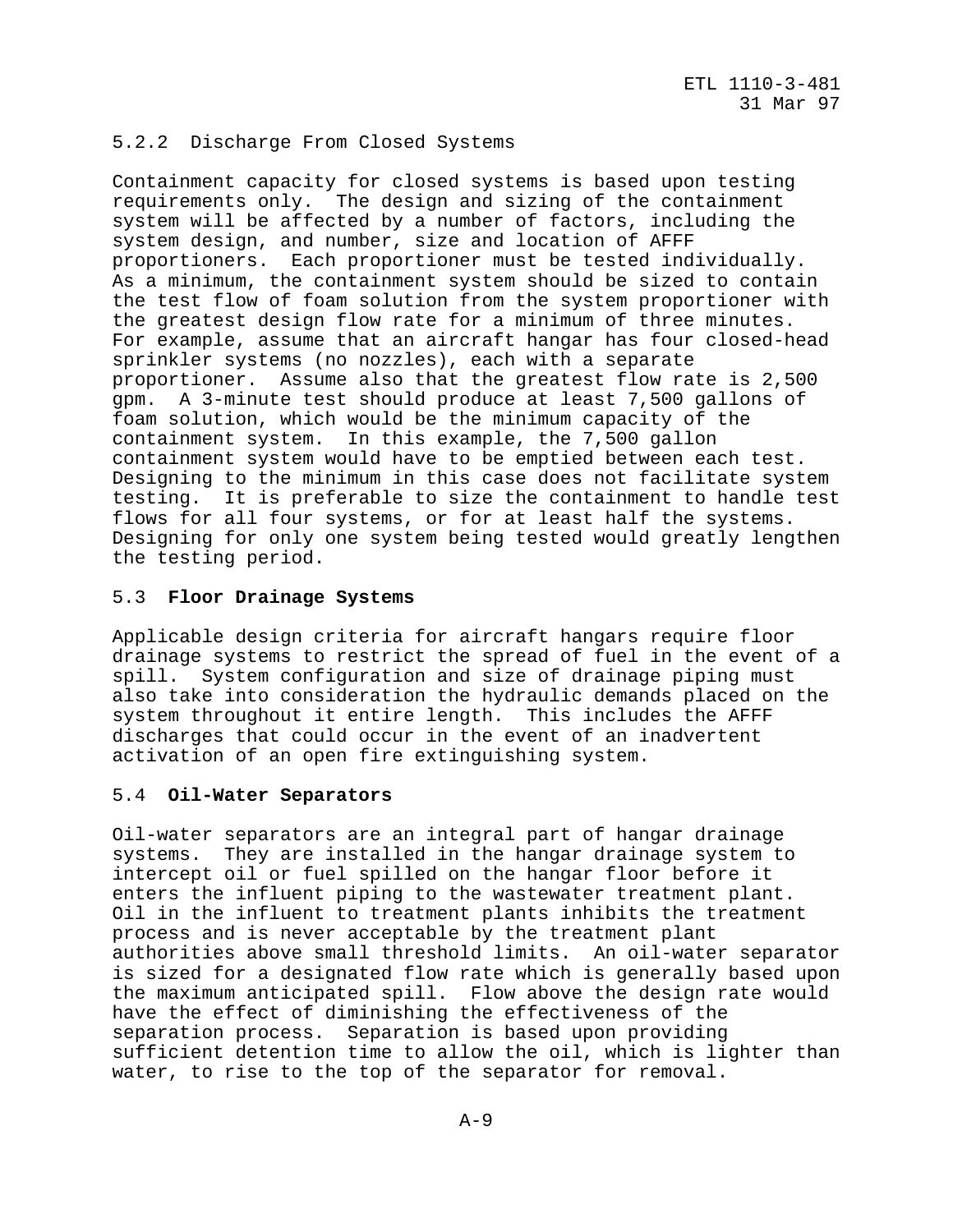# 5.2.2 Discharge From Closed Systems

Containment capacity for closed systems is based upon testing requirements only. The design and sizing of the containment system will be affected by a number of factors, including the system design, and number, size and location of AFFF proportioners. Each proportioner must be tested individually. As a minimum, the containment system should be sized to contain the test flow of foam solution from the system proportioner with the greatest design flow rate for a minimum of three minutes. For example, assume that an aircraft hangar has four closed-head sprinkler systems (no nozzles), each with a separate proportioner. Assume also that the greatest flow rate is 2,500 gpm. A 3-minute test should produce at least 7,500 gallons of foam solution, which would be the minimum capacity of the containment system. In this example, the 7,500 gallon containment system would have to be emptied between each test. Designing to the minimum in this case does not facilitate system testing. It is preferable to size the containment to handle test flows for all four systems, or for at least half the systems. Designing for only one system being tested would greatly lengthen the testing period.

## 5.3 **Floor Drainage Systems**

Applicable design criteria for aircraft hangars require floor drainage systems to restrict the spread of fuel in the event of a spill. System configuration and size of drainage piping must also take into consideration the hydraulic demands placed on the system throughout it entire length. This includes the AFFF discharges that could occur in the event of an inadvertent activation of an open fire extinguishing system.

## 5.4 **Oil-Water Separators**

Oil-water separators are an integral part of hangar drainage systems. They are installed in the hangar drainage system to intercept oil or fuel spilled on the hangar floor before it enters the influent piping to the wastewater treatment plant. Oil in the influent to treatment plants inhibits the treatment process and is never acceptable by the treatment plant authorities above small threshold limits. An oil-water separator is sized for a designated flow rate which is generally based upon the maximum anticipated spill. Flow above the design rate would have the effect of diminishing the effectiveness of the separation process. Separation is based upon providing sufficient detention time to allow the oil, which is lighter than water, to rise to the top of the separator for removal.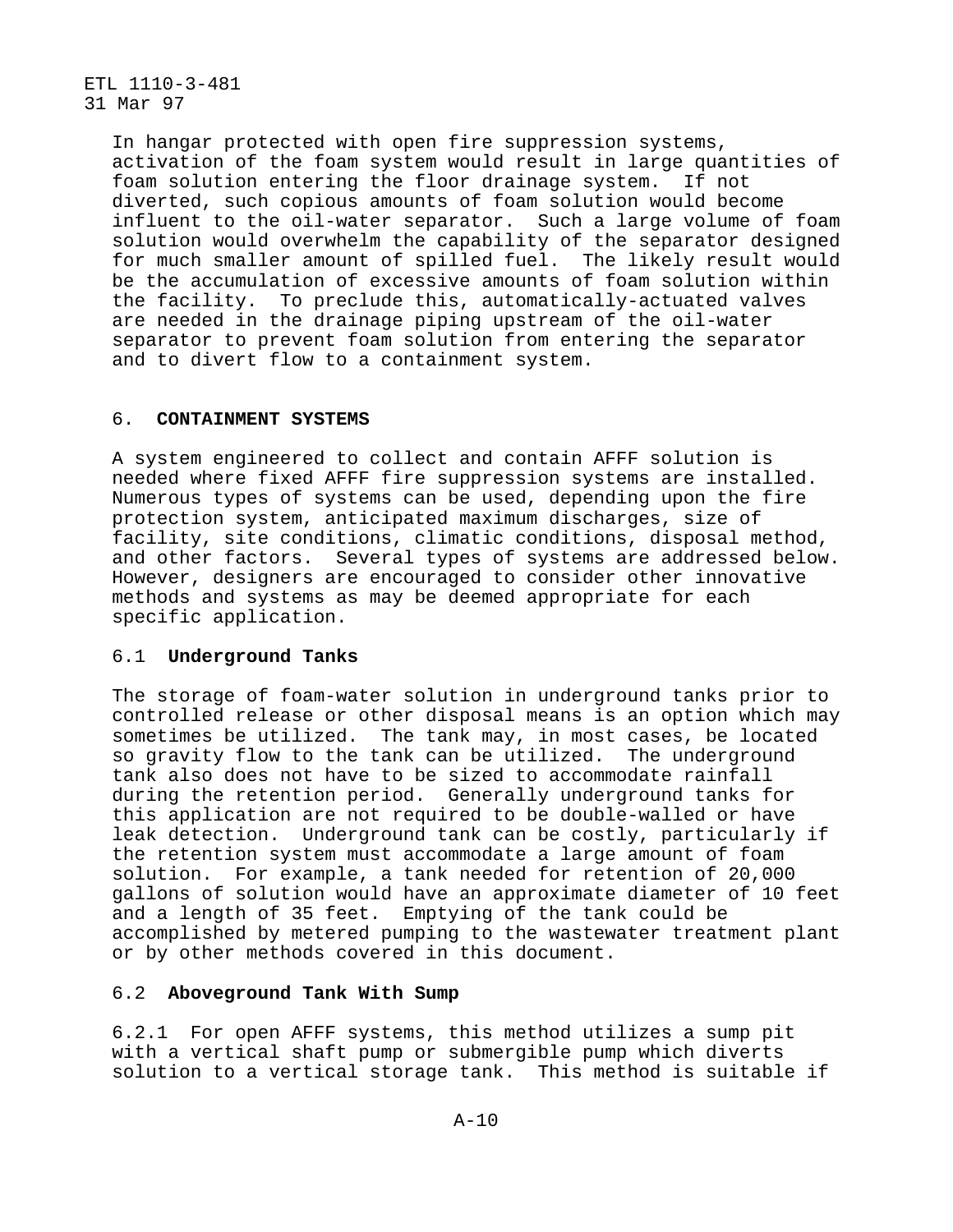> In hangar protected with open fire suppression systems, activation of the foam system would result in large quantities of foam solution entering the floor drainage system. If not diverted, such copious amounts of foam solution would become influent to the oil-water separator. Such a large volume of foam solution would overwhelm the capability of the separator designed for much smaller amount of spilled fuel. The likely result would be the accumulation of excessive amounts of foam solution within the facility. To preclude this, automatically-actuated valves are needed in the drainage piping upstream of the oil-water separator to prevent foam solution from entering the separator and to divert flow to a containment system.

## 6. **CONTAINMENT SYSTEMS**

A system engineered to collect and contain AFFF solution is needed where fixed AFFF fire suppression systems are installed. Numerous types of systems can be used, depending upon the fire protection system, anticipated maximum discharges, size of facility, site conditions, climatic conditions, disposal method, and other factors. Several types of systems are addressed below. However, designers are encouraged to consider other innovative methods and systems as may be deemed appropriate for each specific application.

#### 6.1 **Underground Tanks**

The storage of foam-water solution in underground tanks prior to controlled release or other disposal means is an option which may sometimes be utilized. The tank may, in most cases, be located so gravity flow to the tank can be utilized. The underground tank also does not have to be sized to accommodate rainfall during the retention period. Generally underground tanks for this application are not required to be double-walled or have leak detection. Underground tank can be costly, particularly if the retention system must accommodate a large amount of foam solution. For example, a tank needed for retention of 20,000 gallons of solution would have an approximate diameter of 10 feet and a length of 35 feet. Emptying of the tank could be accomplished by metered pumping to the wastewater treatment plant or by other methods covered in this document.

## 6.2 **Aboveground Tank With Sump**

6.2.1 For open AFFF systems, this method utilizes a sump pit with a vertical shaft pump or submergible pump which diverts solution to a vertical storage tank. This method is suitable if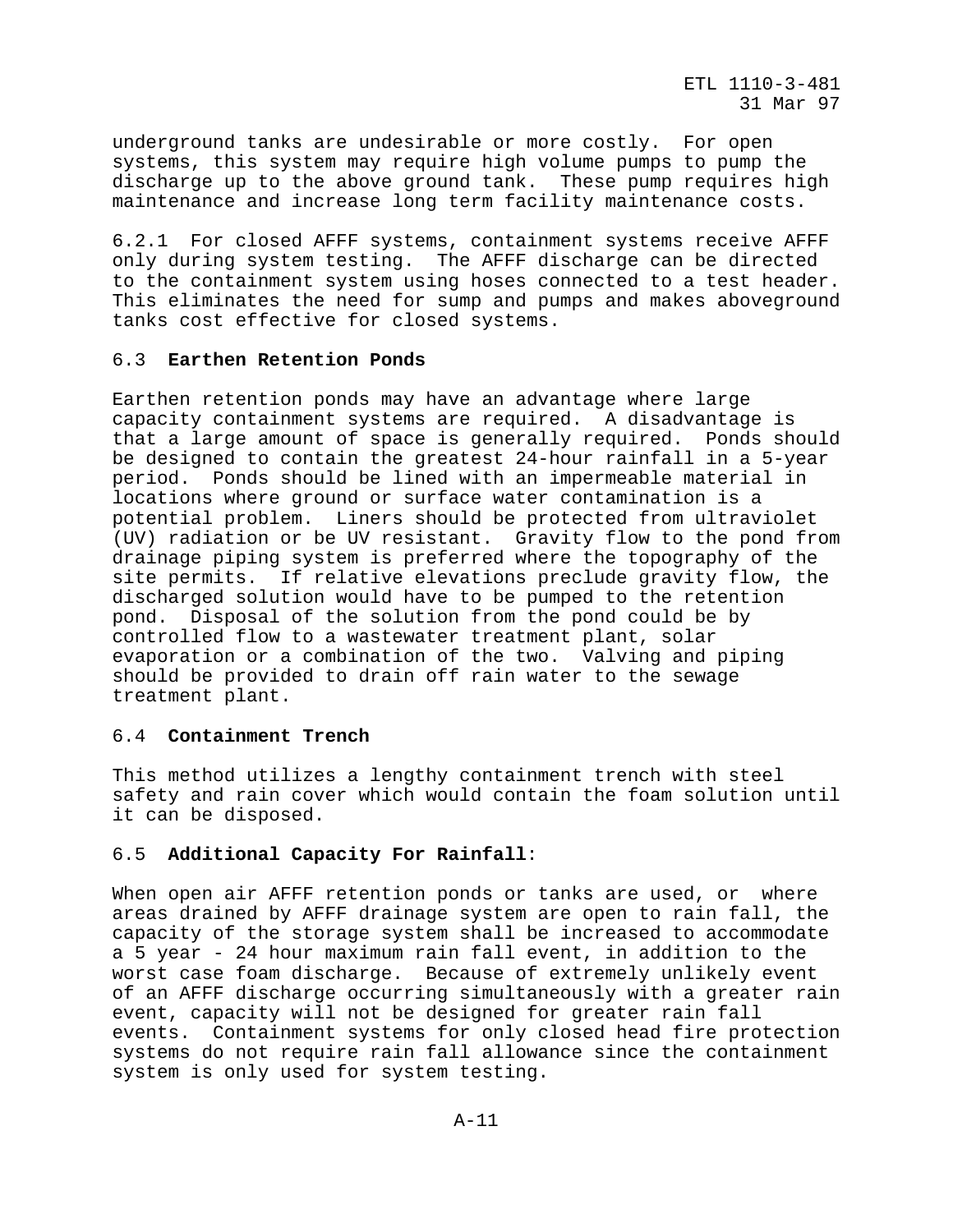underground tanks are undesirable or more costly. For open systems, this system may require high volume pumps to pump the discharge up to the above ground tank. These pump requires high maintenance and increase long term facility maintenance costs.

6.2.1 For closed AFFF systems, containment systems receive AFFF only during system testing. The AFFF discharge can be directed to the containment system using hoses connected to a test header. This eliminates the need for sump and pumps and makes aboveground tanks cost effective for closed systems.

## 6.3 **Earthen Retention Ponds**

Earthen retention ponds may have an advantage where large capacity containment systems are required. A disadvantage is that a large amount of space is generally required. Ponds should be designed to contain the greatest 24-hour rainfall in a 5-year period. Ponds should be lined with an impermeable material in locations where ground or surface water contamination is a potential problem. Liners should be protected from ultraviolet (UV) radiation or be UV resistant. Gravity flow to the pond from drainage piping system is preferred where the topography of the site permits. If relative elevations preclude gravity flow, the discharged solution would have to be pumped to the retention pond. Disposal of the solution from the pond could be by controlled flow to a wastewater treatment plant, solar evaporation or a combination of the two. Valving and piping should be provided to drain off rain water to the sewage treatment plant.

# 6.4 **Containment Trench**

This method utilizes a lengthy containment trench with steel safety and rain cover which would contain the foam solution until it can be disposed.

## 6.5 **Additional Capacity For Rainfall**:

When open air AFFF retention ponds or tanks are used, or where areas drained by AFFF drainage system are open to rain fall, the capacity of the storage system shall be increased to accommodate a 5 year - 24 hour maximum rain fall event, in addition to the worst case foam discharge. Because of extremely unlikely event of an AFFF discharge occurring simultaneously with a greater rain event, capacity will not be designed for greater rain fall events. Containment systems for only closed head fire protection systems do not require rain fall allowance since the containment system is only used for system testing.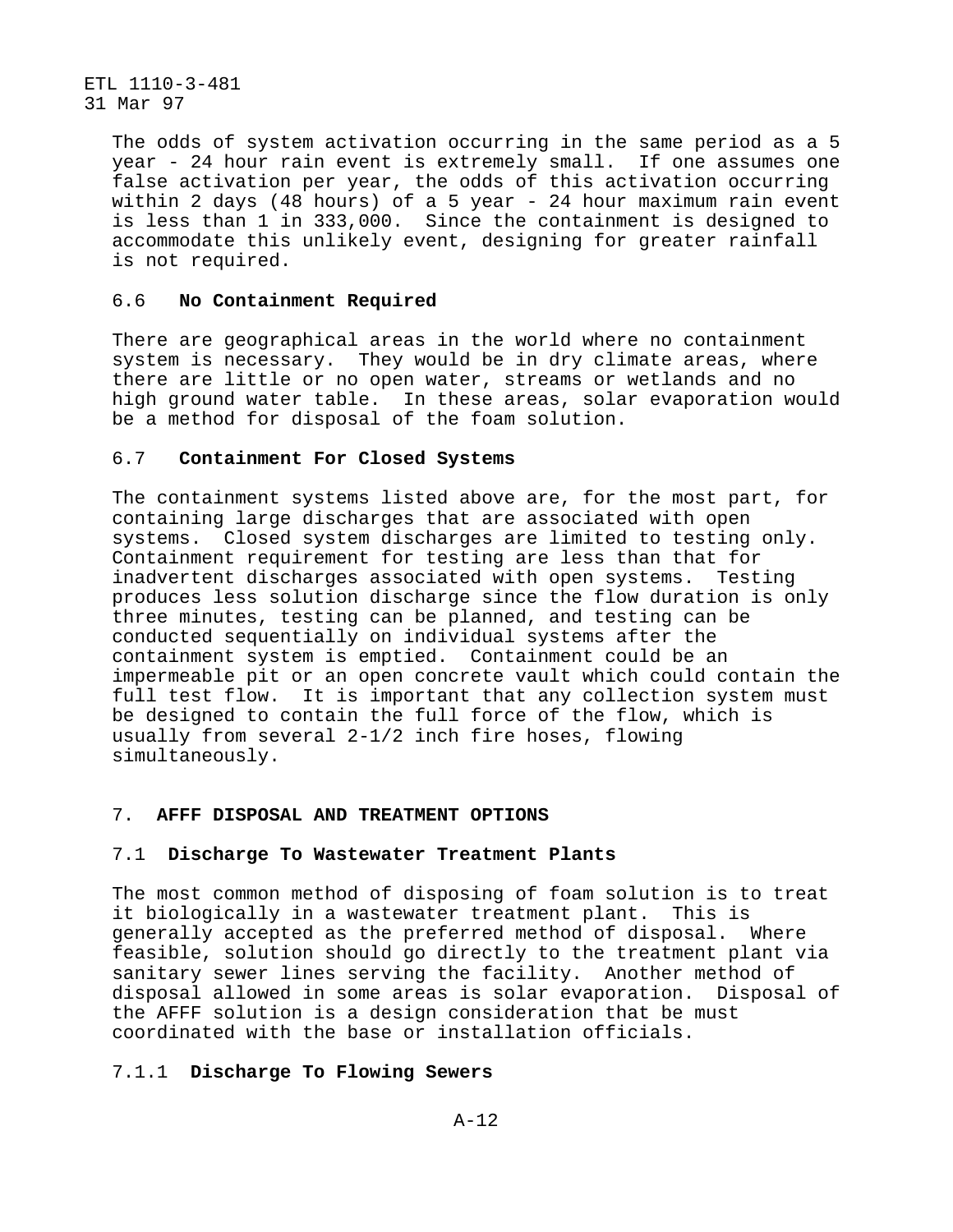> The odds of system activation occurring in the same period as a 5 year - 24 hour rain event is extremely small. If one assumes one false activation per year, the odds of this activation occurring within 2 days (48 hours) of a 5 year - 24 hour maximum rain event is less than 1 in 333,000. Since the containment is designed to accommodate this unlikely event, designing for greater rainfall is not required.

#### 6.6 **No Containment Required**

There are geographical areas in the world where no containment system is necessary. They would be in dry climate areas, where there are little or no open water, streams or wetlands and no high ground water table. In these areas, solar evaporation would be a method for disposal of the foam solution.

#### 6.7 **Containment For Closed Systems**

The containment systems listed above are, for the most part, for containing large discharges that are associated with open systems. Closed system discharges are limited to testing only. Containment requirement for testing are less than that for inadvertent discharges associated with open systems. Testing produces less solution discharge since the flow duration is only three minutes, testing can be planned, and testing can be conducted sequentially on individual systems after the containment system is emptied. Containment could be an impermeable pit or an open concrete vault which could contain the full test flow. It is important that any collection system must be designed to contain the full force of the flow, which is usually from several 2-1/2 inch fire hoses, flowing simultaneously.

#### 7. **AFFF DISPOSAL AND TREATMENT OPTIONS**

## 7.1 **Discharge To Wastewater Treatment Plants**

The most common method of disposing of foam solution is to treat it biologically in a wastewater treatment plant. This is generally accepted as the preferred method of disposal. Where feasible, solution should go directly to the treatment plant via sanitary sewer lines serving the facility. Another method of disposal allowed in some areas is solar evaporation. Disposal of the AFFF solution is a design consideration that be must coordinated with the base or installation officials.

# 7.1.1 **Discharge To Flowing Sewers**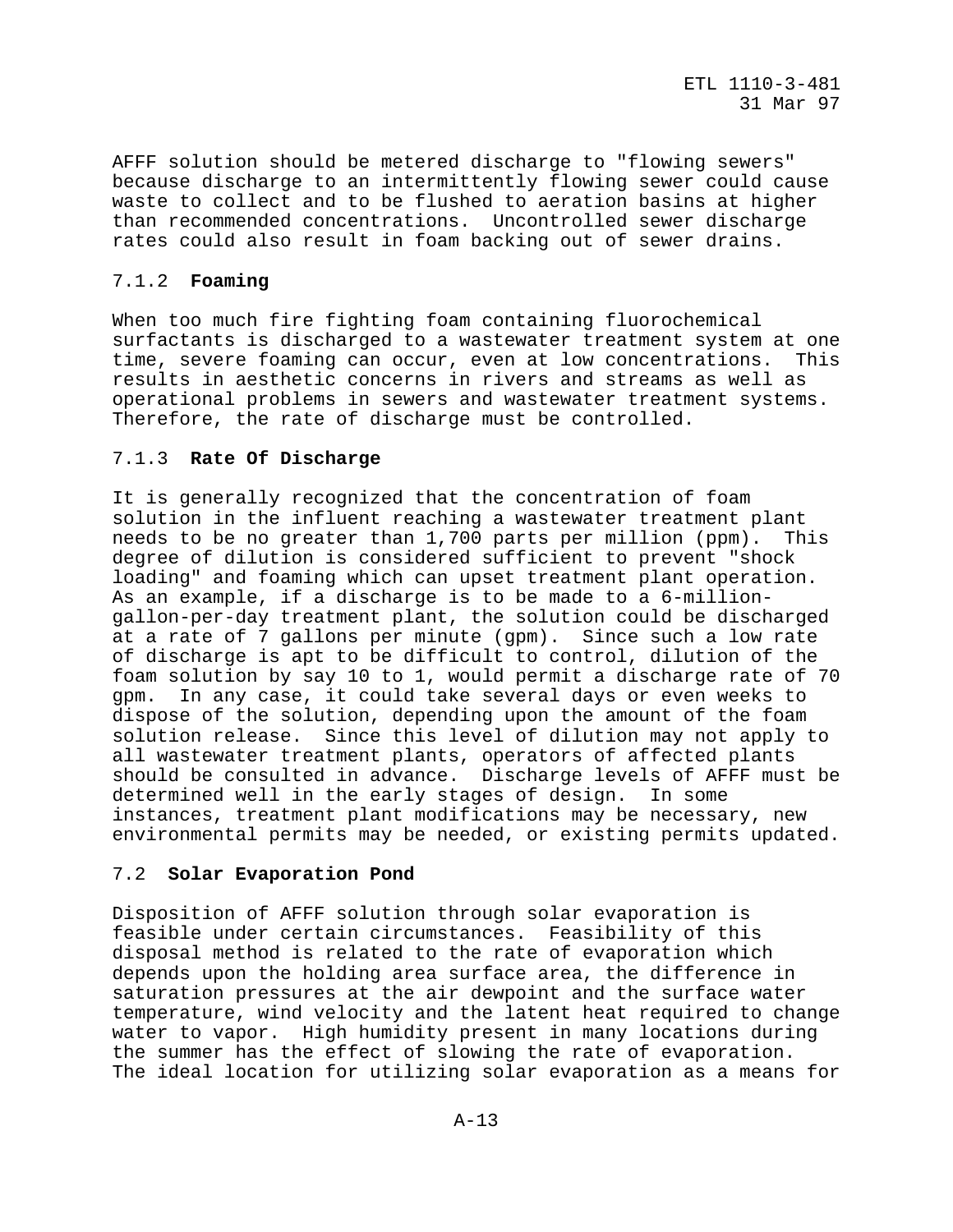AFFF solution should be metered discharge to "flowing sewers" because discharge to an intermittently flowing sewer could cause waste to collect and to be flushed to aeration basins at higher than recommended concentrations. Uncontrolled sewer discharge rates could also result in foam backing out of sewer drains.

# 7.1.2 **Foaming**

When too much fire fighting foam containing fluorochemical surfactants is discharged to a wastewater treatment system at one time, severe foaming can occur, even at low concentrations. This results in aesthetic concerns in rivers and streams as well as operational problems in sewers and wastewater treatment systems. Therefore, the rate of discharge must be controlled.

# 7.1.3 **Rate Of Discharge**

It is generally recognized that the concentration of foam solution in the influent reaching a wastewater treatment plant needs to be no greater than 1,700 parts per million (ppm). This degree of dilution is considered sufficient to prevent "shock loading" and foaming which can upset treatment plant operation. As an example, if a discharge is to be made to a 6-milliongallon-per-day treatment plant, the solution could be discharged at a rate of 7 gallons per minute (gpm). Since such a low rate of discharge is apt to be difficult to control, dilution of the foam solution by say 10 to 1, would permit a discharge rate of 70 gpm. In any case, it could take several days or even weeks to dispose of the solution, depending upon the amount of the foam solution release. Since this level of dilution may not apply to all wastewater treatment plants, operators of affected plants should be consulted in advance. Discharge levels of AFFF must be determined well in the early stages of design. In some instances, treatment plant modifications may be necessary, new environmental permits may be needed, or existing permits updated.

# 7.2 **Solar Evaporation Pond**

Disposition of AFFF solution through solar evaporation is feasible under certain circumstances. Feasibility of this disposal method is related to the rate of evaporation which depends upon the holding area surface area, the difference in saturation pressures at the air dewpoint and the surface water temperature, wind velocity and the latent heat required to change water to vapor. High humidity present in many locations during the summer has the effect of slowing the rate of evaporation. The ideal location for utilizing solar evaporation as a means for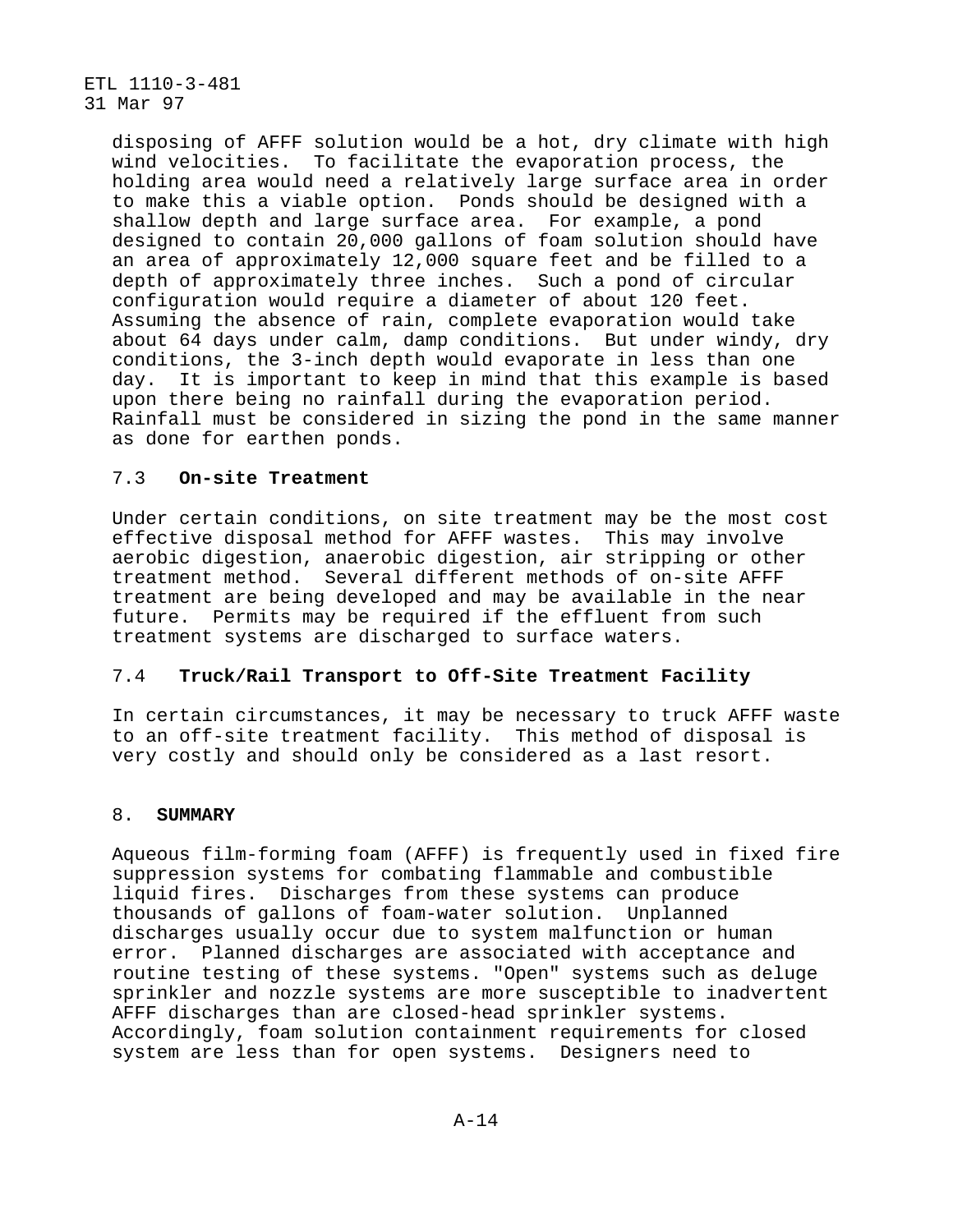> disposing of AFFF solution would be a hot, dry climate with high wind velocities. To facilitate the evaporation process, the holding area would need a relatively large surface area in order to make this a viable option. Ponds should be designed with a shallow depth and large surface area. For example, a pond designed to contain 20,000 gallons of foam solution should have an area of approximately 12,000 square feet and be filled to a depth of approximately three inches. Such a pond of circular configuration would require a diameter of about 120 feet. Assuming the absence of rain, complete evaporation would take about 64 days under calm, damp conditions. But under windy, dry conditions, the 3-inch depth would evaporate in less than one day. It is important to keep in mind that this example is based upon there being no rainfall during the evaporation period. Rainfall must be considered in sizing the pond in the same manner as done for earthen ponds.

# 7.3 **On-site Treatment**

Under certain conditions, on site treatment may be the most cost effective disposal method for AFFF wastes. This may involve aerobic digestion, anaerobic digestion, air stripping or other treatment method. Several different methods of on-site AFFF treatment are being developed and may be available in the near future. Permits may be required if the effluent from such treatment systems are discharged to surface waters.

## 7.4 **Truck/Rail Transport to Off-Site Treatment Facility**

In certain circumstances, it may be necessary to truck AFFF waste to an off-site treatment facility. This method of disposal is very costly and should only be considered as a last resort.

#### 8. **SUMMARY**

Aqueous film-forming foam (AFFF) is frequently used in fixed fire suppression systems for combating flammable and combustible liquid fires. Discharges from these systems can produce thousands of gallons of foam-water solution. Unplanned discharges usually occur due to system malfunction or human error. Planned discharges are associated with acceptance and routine testing of these systems. "Open" systems such as deluge sprinkler and nozzle systems are more susceptible to inadvertent AFFF discharges than are closed-head sprinkler systems. Accordingly, foam solution containment requirements for closed system are less than for open systems. Designers need to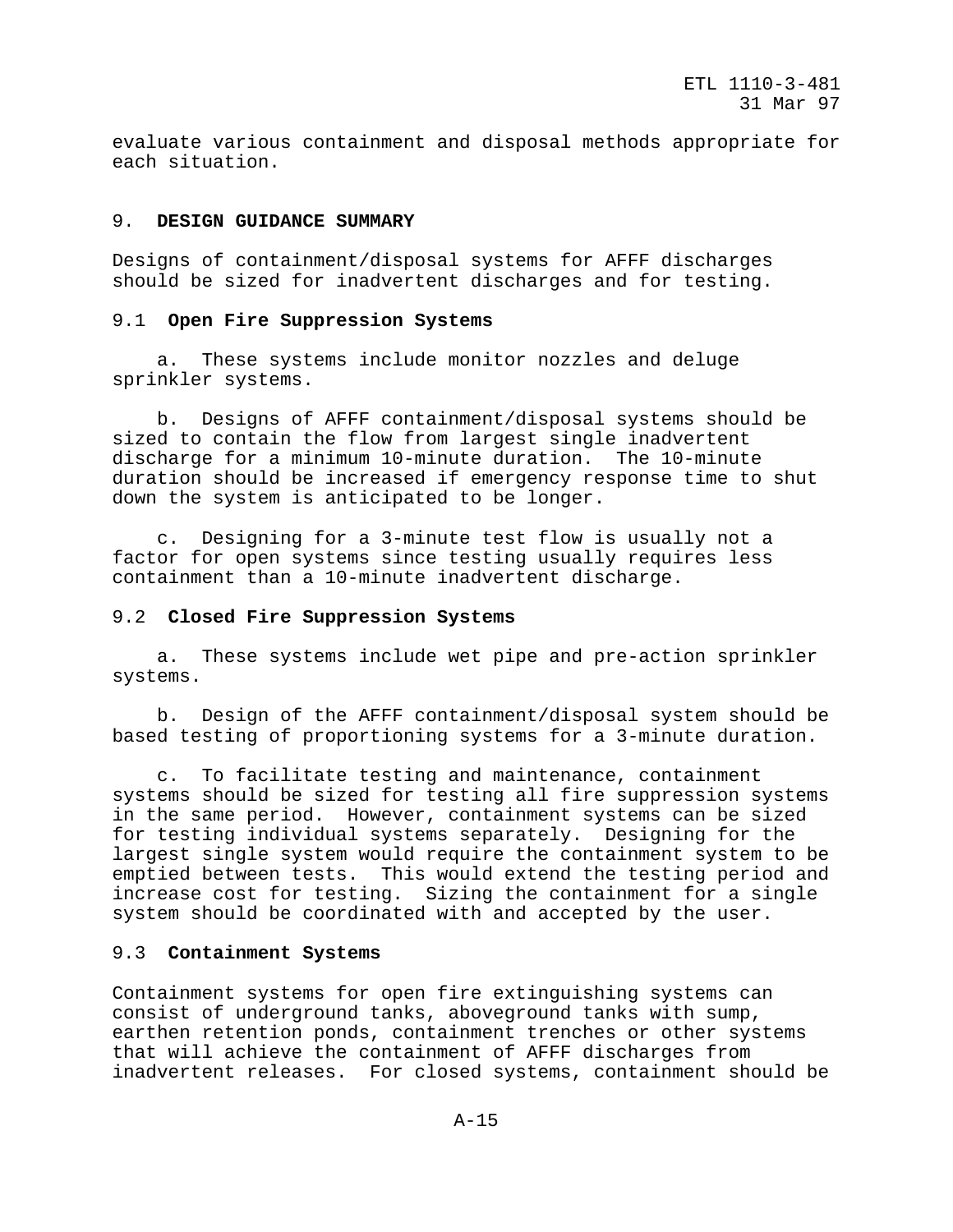evaluate various containment and disposal methods appropriate for each situation.

#### 9. **DESIGN GUIDANCE SUMMARY**

Designs of containment/disposal systems for AFFF discharges should be sized for inadvertent discharges and for testing.

#### 9.1 **Open Fire Suppression Systems**

 a. These systems include monitor nozzles and deluge sprinkler systems.

 b. Designs of AFFF containment/disposal systems should be sized to contain the flow from largest single inadvertent discharge for a minimum 10-minute duration. The 10-minute duration should be increased if emergency response time to shut down the system is anticipated to be longer.

 c. Designing for a 3-minute test flow is usually not a factor for open systems since testing usually requires less containment than a 10-minute inadvertent discharge.

#### 9.2 **Closed Fire Suppression Systems**

 a. These systems include wet pipe and pre-action sprinkler systems.

 b. Design of the AFFF containment/disposal system should be based testing of proportioning systems for a 3-minute duration.

 c. To facilitate testing and maintenance, containment systems should be sized for testing all fire suppression systems in the same period. However, containment systems can be sized for testing individual systems separately. Designing for the largest single system would require the containment system to be emptied between tests. This would extend the testing period and increase cost for testing. Sizing the containment for a single system should be coordinated with and accepted by the user.

#### 9.3 **Containment Systems**

Containment systems for open fire extinguishing systems can consist of underground tanks, aboveground tanks with sump, earthen retention ponds, containment trenches or other systems that will achieve the containment of AFFF discharges from inadvertent releases. For closed systems, containment should be